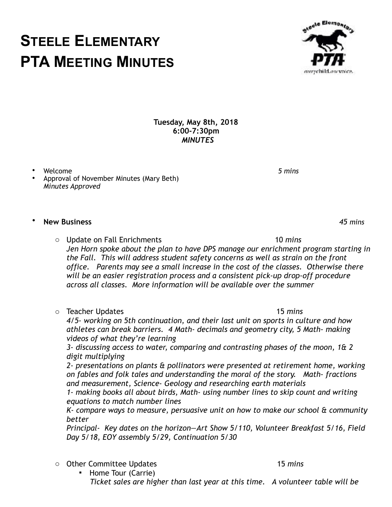## o Teacher Updates 15 *mins 4/5- working on 5th continuation, and their last unit on sports in culture and how athletes can break barriers. 4 Math- decimals and geometry city, 5 Math- making videos of what they're learning*

 *3- discussing access to water, comparing and contrasting phases of the moon, 1& 2 digit multiplying* 

 *2- presentations on plants & pollinators were presented at retirement home, working on fables and folk tales and understanding the moral of the story. Math- fractions and measurement, Science- Geology and researching earth materials* 

 *1- making books all about birds, Math- using number lines to skip count and writing equations to match number lines* 

 *K- compare ways to measure, persuasive unit on how to make our school & community better* 

 *Principal- Key dates on the horizon—Art Show 5/110, Volunteer Breakfast 5/16, Field Day 5/18, EOY assembly 5/29, Continuation 5/30* 

o Other Committee Updates 15 *mins* 

▪ Home Tour (Carrie)  *Ticket sales are higher than last year at this time. A volunteer table will be* 

**Tuesday, May 8th, 2018 6:00-7:30pm** *MINUTES*

- Welcome*5 mins*
- Approval of November Minutes (Mary Beth) *Minutes Approved*

• **New Business** *45 mins*

- o Update on Fall Enrichments 10 *mins Jen Horn spoke about the plan to have DPS manage our enrichment program starting in the Fall. This will address student safety concerns as well as strain on the front office. Parents may see a small increase in the cost of the classes. Otherwise there will be an easier registration process and a consistent pick-up drop-off procedure across all classes. More information will be available over the summer*
- 



## **STEELE ELEMENTARY PTA MEETING MINUTES**